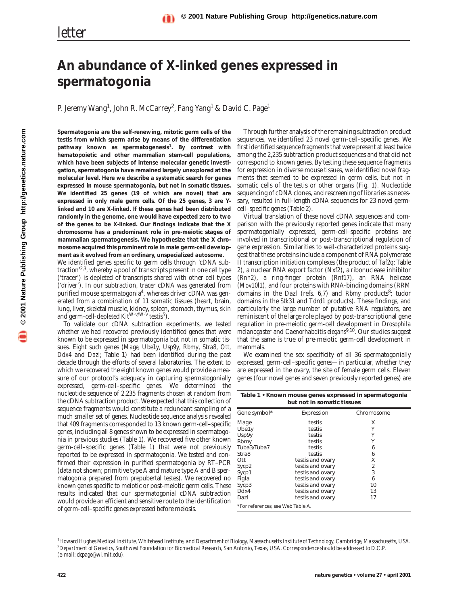## **An abundance of X-linked genes expressed in spermatogonia**

P. Jeremy Wang<sup>1</sup>, John R. McCarrey<sup>2</sup>, Fang Yang<sup>1</sup> & David C. Page<sup>1</sup>

**Spermatogonia are the self-renewing, mitotic germ cells of the testis from which sperm arise by means of the differentiation pathway known as spermatogenesis1. By contrast with hematopoietic and other mammalian stem-cell populations, which have been subjects of intense molecular genetic investigation, spermatogonia have remained largely unexplored at the molecular level. Here we describe a systematic search for genes expressed in mouse spermatogonia, but not in somatic tissues. We identified 25 genes (19 of which are novel) that are expressed in only male germ cells. Of the 25 genes, 3 are Ylinked and 10 are X-linked. If these genes had been distributed randomly in the genome, one would have expected zero to two of the genes to be X-linked. Our findings indicate that the X chromosome has a predominant role in pre-meiotic stages of mammalian spermatogenesis. We hypothesize that the X chromosome acquired this prominent role in male germ-cell development as it evolved from an ordinary, unspecialized autosome.**

We identified genes specific to germ cells through 'cDNA subtraction'2,3, whereby a pool of transcripts present in one cell type ('tracer') is depleted of transcripts shared with other cell types ('driver'). In our subtraction, tracer cDNA was generated from purified mouse spermatogonia<sup>4</sup>, whereas driver cDNA was generated from a combination of 11 somatic tissues (heart, brain, lung, liver, skeletal muscle, kidney, spleen, stomach, thymus, skin and germ-cell-depleted  $Kit^{W-v/W-v}$  testis<sup>5</sup>).

To validate our cDNA subtraction experiments, we tested whether we had recovered previously identified genes that were known to be expressed in spermatogonia but not in somatic tissues. Eight such genes (*Mage*, *Ube1y*, *Usp9y*, *Rbmy*, *Stra8*, *Ott*, *Ddx4* and *Dazl*; Table 1) had been identified during the past decade through the efforts of several laboratories. The extent to which we recovered the eight known genes would provide a measure of our protocol's adequacy in capturing spermatogonially expressed, germ-cell–specific genes. We determined the nucleotide sequence of 2,235 fragments chosen at random from the cDNA subtraction product. We expected that this collection of sequence fragments would constitute a redundant sampling of a much smaller set of genes. Nucleotide sequence analysis revealed that 409 fragments corresponded to 13 known germ-cell–specific genes, including all 8 genes shown to be expressed in spermatogonia in previous studies (Table 1). We recovered five other known germ-cell–specific genes (Table 1) that were not previously reported to be expressed in spermatogonia. We tested and confirmed their expression in purified spermatogonia by RT–PCR (data not shown; primitive type A and mature type A and B spermatogonia prepared from prepubertal testes). We recovered no known genes specific to meiotic or post-meiotic germ cells. These results indicated that our spermatogonial cDNA subtraction would provide an efficient and sensitive route to the identification of germ-cell–specific genes expressed before meiosis.

Through further analysis of the remaining subtraction product sequences, we identified 23 novel germ-cell–specific genes. We first identified sequence fragments that were present at least twice among the 2,235 subtraction product sequences and that did not correspond to known genes. By testing these sequence fragments for expression in diverse mouse tissues, we identified novel fragments that seemed to be expressed in germ cells, but not in somatic cells of the testis or other organs (Fig. 1). Nucleotide sequencing of cDNA clones, and rescreening of libraries as necessary, resulted in full-length cDNA sequences for 23 novel germcell–specific genes (Table 2).

Virtual translation of these novel cDNA sequences and comparison with the previously reported genes indicate that many spermatogonially expressed, germ-cell–specific proteins are involved in transcriptional or post-transcriptional regulation of gene expression. Similarities to well-characterized proteins suggest that these proteins include a component of RNA polymerase II transcription initiation complexes (the product of *Taf2q*; Table 2), a nuclear RNA export factor (*Nxf2*), a ribonuclease inhibitor (*Rnh2*), a ring-finger protein (*Rnf17*), an RNA helicase (*Mov10l1*), and four proteins with RNA-binding domains (RRM domains in the *Dazl* (refs. 6,7) and *Rbmy* products<sup>8</sup>; tudor domains in the *Stk31* and *Tdrd1* products). These findings, and particularly the large number of putative RNA regulators, are reminiscent of the large role played by post-transcriptional gene regulation in pre-meiotic germ-cell development in *Drosophila melanogaster* and *Caenorhabditis elegans*9,10. Our studies suggest that the same is true of pre-meiotic germ-cell development in mammals.

We examined the sex specificity of all 36 spermatogonially expressed, germ-cell–specific genes—in particular, whether they are expressed in the ovary, the site of female germ cells. Eleven genes (four novel genes and seven previously reported genes) are

|                                   | Table 1 • Known mouse genes expressed in spermatogonia<br>but not in somatic tissues<br>Chromosome<br>Expression<br>testis<br>Х<br>Υ<br>testis<br>Υ<br>testis<br>Υ<br>testis<br>testis<br>6 |    |  |  |
|-----------------------------------|---------------------------------------------------------------------------------------------------------------------------------------------------------------------------------------------|----|--|--|
| Gene symbol*                      |                                                                                                                                                                                             |    |  |  |
| Mage                              |                                                                                                                                                                                             |    |  |  |
| Ube1y                             |                                                                                                                                                                                             |    |  |  |
| Usp9y                             |                                                                                                                                                                                             |    |  |  |
| Rbmy                              |                                                                                                                                                                                             |    |  |  |
| Tuba3/Tuba7                       |                                                                                                                                                                                             |    |  |  |
| Stra8                             | testis                                                                                                                                                                                      | 6  |  |  |
| Ott                               | testis and ovary                                                                                                                                                                            | Х  |  |  |
| Sycp2                             | testis and ovary                                                                                                                                                                            | 2  |  |  |
| Sycp1                             | testis and ovary                                                                                                                                                                            | 3  |  |  |
| Figla                             | testis and ovary                                                                                                                                                                            | 6  |  |  |
| Sycp3                             | testis and ovary                                                                                                                                                                            | 10 |  |  |
| Ddx4                              | testis and ovary                                                                                                                                                                            | 13 |  |  |
| Dazl                              | testis and ovary                                                                                                                                                                            | 17 |  |  |
| *For references, see Web Table A. |                                                                                                                                                                                             |    |  |  |

<sup>&</sup>lt;sup>1</sup>Howard Hughes Medical Institute, Whitehead Institute, and Department of Biology, Massachusetts Institute of Technology, Cambridge, Massachusetts, USA.<br><sup>2</sup>Department of Genetics, Southwest Foundation for Biomedical Resea *(e-mail: dcpage@wi.mit.edu).*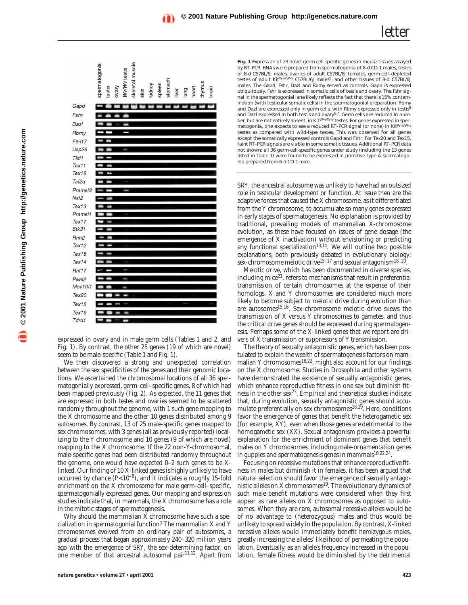seem to be male-specific (Table 1 and Fig. 1).

expressed in ovary and in male germ cells (Tables 1 and 2, and Fig. 1). By contrast, the other 25 genes (19 of which are novel)

skeletal muscle

tomac

kidney spleen

skin

**WyWv** testis

spermatogonia

Gapd Fshr Dazl

Rbmy Fth<sub>117</sub>  $Usp26$ Tktl1 Tex11 Tex16 Taf2q Prame<sub>13</sub>  $Nxf2$  $Text13$ Pramel1 Tex17 Stk31 Rnh<sub>2</sub> Tex12 Tex18 Tex14 Rnf17 Piwil<sub>2</sub> **Mov1011** Tex20 Tex15 Tex19 Tdrd1

testis vary

We then discovered a strong and unexpected correlation

matogonially expressed, germ-cell–specific genes, 8 of which had been mapped previously (Fig. 2). As expected, the 11 genes that are expressed in both testes and ovaries seemed to be scattered randomly throughout the genome, with 1 such gene mapping to the X chromosome and the other 10 genes distributed among 9 autosomes. By contrast, 13 of 25 male-specific genes mapped to sex chromosomes, with 3 genes (all as previously reported) localizing to the Y chromosome and 10 genes (9 of which are novel) mapping to the X chromosome. If the 22 non-Y-chromosomal, male-specific genes had been distributed randomly throughout the genome, one would have expected 0–2 such genes to be Xlinked. Our finding of 10 X-linked genes is highly unlikely to have occurred by chance (*P*<10–8), and it indicates a roughly 15-fold enrichment on the X chromosome for male germ-cell–specific, spermatogonially expressed genes. Our mapping and expression studies indicate that, in mammals, the X chromosome has a role

in the mitotic stages of spermatogenesis. Why should the mammalian X chromosome have such a specialization in spermatogonial function? The mammalian X and Y chromosomes evolved from an ordinary pair of autosomes, a gradual process that began approximately 240–320 million years

ago with the emergence of *SRY*, the sex-determining factor, on one member of that ancestral autosomal pair<sup>11,12</sup>. Apart from

**Fig. 1** Expression of 23 novel germ-cell-specific genes in mouse tissues assayed by RT–PCR. RNAs were prepared from spermatogonia of 8-d CD-1 males, testes of 8-d C57BL/6J males, ovaries of adult C57BL/6J females, germ-cell-depleted<br>testes of adult *Kit<sup>W-v/W-v* C57BL/6J males<sup>5</sup>, and other tissues of 8-d C57BL/6J</sup> males. The *Gapd*, *Fshr*, *Dazl* and *Rbmy* served as controls. *Gapd* is expressed ubiquitously. *Fshr* is expressed in somatic cells of testis and ovary. The *Fshr* signal in the spermatogonial lane likely reflects the fact that there is 15% contamination (with testicular somatic cells) in the spermatogonial preparation. *Rbmy* and *Dazl* are expressed only in germ cells, with *Rbmy* expressed only in testis<sup>8</sup> and *Dazl* expressed in both testis and ovary6,7. Germ cells are reduced in num-ber, but are not entirely absent, in *KitW-v/W-v* testes. For genes expressed in spermatogonia, one expects to see a reduced RT-PCR signal (or none) in  $Kit^{W\cdot v}$ testes as compared with wild-type testes. This was observed for all genes except the somatically expressed controls *Gapd* and *Fshr*. For *Tex20* and *Tex15*, faint RT–PCR signals are visible in some somatic tissues. Additional RT–PCR data not shown: all 36 germ-cell-specific genes under study (including the 13 genes listed in Table 1) were found to be expressed in primitive type A spermatogonia prepared from 6-d CD-1 mice.

*letter*

*SRY*, the ancestral autosome was unlikely to have had an outsized role in testicular development or function. At issue then are the adaptive forces that caused the X chromosome, as it differentiated from the Y chromosome, to accumulate so many genes expressed in early stages of spermatogenesis. No explanation is provided by traditional, prevailing models of mammalian X-chromosome evolution, as these have focused on issues of gene dosage (the emergence of X inactivation) without envisioning or predicting any functional specialization<sup>13,14</sup>. We will outline two possible explanations, both previously debated in evolutionary biology: sex-chromosome meiotic drive<sup>15–17</sup> and sexual antagonism<sup>18–20</sup>.

Meiotic drive, which has been documented in diverse species, including mice<sup>21</sup>, refers to mechanisms that result in preferential transmission of certain chromosomes at the expense of their homologs. X and Y chromosomes are considered much more likely to become subject to meiotic drive during evolution than are autosomes15,16. Sex-chromosome meiotic drive skews the transmission of X versus Y chromosomes to gametes, and thus the critical drive genes should be expressed during spermatogenesis. Perhaps some of the X-linked genes that we report are drivers of X transmission or suppressors of Y transmission.

The theory of sexually antagonistic genes, which has been postulated to explain the wealth of spermatogenesis factors on mammalian Y chromosomes<sup>18,22</sup>, might also account for our findings on the X chromosome. Studies in *Drosophila* and other systems have demonstrated the existence of sexually antagonistic genes, which enhance reproductive fitness in one sex but diminish fitness in the other sex<sup>23</sup>. Empirical and theoretical studies indicate that, during evolution, sexually antagonistic genes should accumulate preferentially on sex chromosomes<sup>18,19</sup>. Here, conditions favor the emergence of genes that benefit the heterogametic sex (for example, XY), even when those genes are detrimental to the homogametic sex (XX). Sexual antagonism provides a powerful explanation for the enrichment of dominant genes that benefit males on Y chromosomes, including male-ornamentation genes in guppies and spermatogenesis genes in mammals<sup>18,22,24</sup>.

Focusing on recessive mutations that enhance reproductive fitness in males but diminish it in females, it has been argued that natural selection should favor the emergence of sexually antagonistic alleles on X chromosomes $19$ . The evolutionary dynamics of such male-benefit mutations were considered when they first appear as rare alleles on X chromosomes as opposed to autosomes. When they are rare, autosomal recessive alleles would be of no advantage to (heterozygous) males and thus would be unlikely to spread widely in the population. By contrast, X-linked recessive alleles would immediately benefit hemizygous males, greatly increasing the alleles' likelihood of permeating the population. Eventually, as an allele's frequency increased in the population, female fitness would be diminished by the detrimental

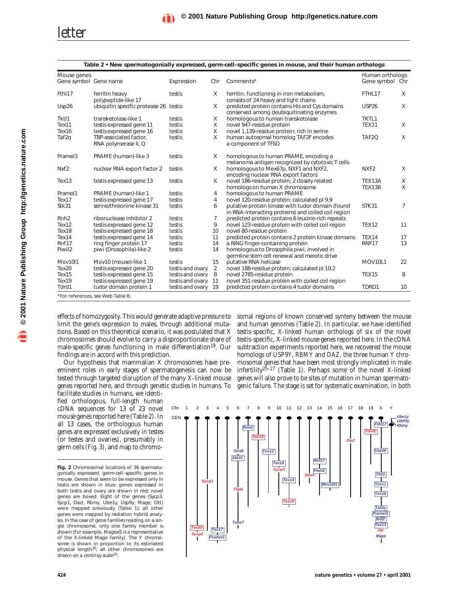## *letter*

| Mouse genes           |                                                |                     |                | Human orthologs                                                                                         |                   |          |
|-----------------------|------------------------------------------------|---------------------|----------------|---------------------------------------------------------------------------------------------------------|-------------------|----------|
| Gene symbol Gene name |                                                | Expression          | Chr            | Comments*                                                                                               | Gene symbol Chr   |          |
| Fth <sub>17</sub>     | ferritin heavy<br>polypeptide-like 17          | testis              | X              | ferritin, functioning in iron metabolism,<br>consists of 24 heavy and light chains                      | FTHL17            | X        |
| Usp26                 | ubiquitin specific protease 26 testis          |                     | X              | predicted protein contains His and Cys domains<br>conserved among deubiquitinating enzymes              | <b>USP26</b>      | X        |
| Tktl1                 | transketolase-like 1                           | testis              | X              | homologous to human transketolase                                                                       | TKTL1             |          |
| Tex <sub>11</sub>     | testis expressed gene 11                       | testis              | X              | novel 947-residue protein                                                                               | TEX11             | X        |
| Tex <sub>16</sub>     | testis expressed gene 16                       | testis              | X              | novel 1,139-residue protein; rich in serine                                                             |                   |          |
| Taf2q                 | TBP-associated factor.<br>RNA polymerase II, Q | testis              | X              | human autosomal homolog TAF2F encodes<br>a component of TFIID                                           | TAF <sub>20</sub> | X        |
| Prame <sub>13</sub>   | PRAME (human)-like 3                           | testis              | X              | homologous to human PRAME, encoding a<br>melanoma antigen recognized by cytotoxic T cells               |                   |          |
| Nxf <sub>2</sub>      | nuclear RNA export factor 2                    | testis              | $\times$       | homologous to Mex67p, NXF1 and NXF2,<br>encoding nuclear RNA export factors                             | NXF <sub>2</sub>  | $\times$ |
| Text13                | testis expressed gene 13                       | testis              | X              | novel 186-residue protein; 2 closely related<br>homologs on human X chromosome                          | TEX13A<br>TEX13B  | X<br>X   |
| Prame <sub>11</sub>   | PRAME (human)-like 1                           | testis              | 4              | homologous to human PRAME                                                                               |                   |          |
| Tex17                 | testis expressed gene 17                       | testis              | $\overline{4}$ | novel 120-residue protein; calculated pl 9.9                                                            |                   |          |
| Stk31                 | serine/threonine kinase 31                     | testis              | 6              | putative protein kinase with tudor domain (found<br>in RNA-interacting proteins) and coiled coil region | STK31             | 7        |
| Rnh2                  | ribonuclease inhibitor 2                       | testis              | $\overline{7}$ | predicted protein contains 6 leucine-rich repeats                                                       |                   |          |
| Tex12                 | testis expressed gene 12                       | testis              | 9              | novel 123-residue protein with coiled coil region                                                       | <b>TEX12</b>      | 11       |
| Tex18                 | testis expressed gene 18                       | testis              | 10             | novel 80-residue protein                                                                                |                   |          |
| Tex14                 | testis expressed gene 14                       | testis              | 11             | predicted protein contains 2 protein kinase domains                                                     | <b>TEX14</b>      | 17       |
| Rnf17                 | ring finger protein 17                         | testis              | 14             | a RING finger-containing protein                                                                        | RNF17             | 13       |
| Piwil2                | piwi ( <i>Drosophila</i> )-like 2              | testis              | 14             | homologous to Drosophila piwi, involved in<br>germline stem cell renewal and meiotic drive              |                   |          |
| <b>Mov1011</b>        | Mov10 (mouse)-like 1                           | testis              | 15             | putative RNA helicase                                                                                   | <b>MOV10L1</b>    | 22       |
| Tex20                 | testis expressed gene 20                       | testis and ovary    | $\overline{2}$ | novel 188-residue protein; calculated pl 10.2                                                           |                   |          |
| Text15                | testis expressed gene 15                       | testis and ovary    | 8              | novel 2785-residue protein                                                                              | TEX15             | 8        |
| Tex19                 | testis expressed gene 19                       | testis and ovary 11 |                | novel 351-residue protein with coiled coil region                                                       |                   |          |
| Tdrd1                 | tudor domain protein 1                         | testis and ovary 19 |                | predicted protein contains 4 tudor domains                                                              | TDRD1             | 10       |

**Table 2 • New spermatogonially expressed, germ-cell–specific genes in mouse, and their human orthologs**

limit the gene's expression to males, through additional mutations. Based on this theoretical scenario, it was postulated that X chromosomes should evolve to carry a disproportionate share of male-specific genes functioning in male differentiation<sup>19</sup>. Our findings are in accord with this prediction.

Our hypothesis that mammalian X chromosomes have preeminent roles in early stages of spermatogenesis can now be tested through targeted disruption of the many X-linked mouse genes reported here, and through genetic studies in humans. To

facilitate studies in humans, we identified orthologous, full-length human cDNA sequences for 13 of 23 novel mouse genes reported here (Table 2). In all 13 cases, the orthologous human genes are expressed exclusively in testes (or testes and ovaries), presumably in germ cells (Fig. 3), and map to chromo-

effects of homozygosity. This would generate adaptive pressure to somal regions of known conserved synteny between the mouse and human genomes (Table 2). In particular, we have identified testis-specific, X-linked human orthologs of six of the novel testis-specific, X-linked mouse genes reported here. In the cDNA subtraction experiments reported here, we recovered the mouse homologs of *USP9Y*, *RBMY* and *DAZ*, the three human Y chromosomal genes that have been most strongly implicated in male infertility25–27 (Table 1). Perhaps some of the novel X-linked genes will also prove to be sites of mutation in human spermatogenic failure. The stage is set for systematic examination, in both



**Fig. 2** Chromosomal locations of 36 spermatogonially expressed, germ-cell–specific genes in mouse. Genes that seem to be expressed only in testis are shown in blue; genes expressed in both testis and ovary are shown in red; novel genes are boxed. Eight of the genes (*Sycp3*, *Sycp1*, *Dazl*, *Rbmy*, *Ube1y*, *Usp9y*, *Mage*, *Ott*) were mapped previously (Table 1); all other genes were mapped by radiation hybrid analysis. In the case of gene families residing on a single chromosome, only one family member is shown (for example, *Magea5* is a representative of the X-linked *Mage* family). The Y chromosome is shown in proportion to its estimated<br>physical length<sup>30</sup>; all other chromosomes are drawn on a centiray scale<sup>29</sup>.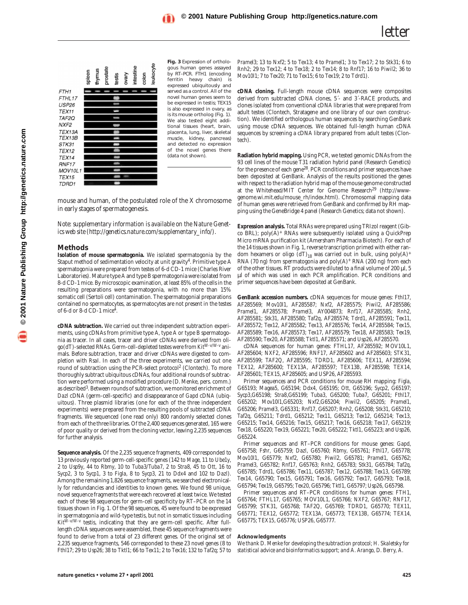

**Fig. 3** Expression of orthologous human genes assayed by RT–PCR. *FTH1* (encoding ferritin heavy chain) expressed ubiquitously and served as a control. All of the novel human genes seem to be expressed in testis; *TEX15* is also expressed in ovary, as is its mouse ortholog (Fig. 1). We also tested eight additional tissues (heart, brain, placenta, lung, liver, skeletal muscle, kidney, pancreas) and detected no expression of the novel genes there (data not shown).

mouse and human, of the postulated role of the X chromosome in early stages of spermatogenesis.

*Note: supplementary information is available on the Nature Genetics web site (http://genetics.nature.com/supplementary\_info/).*

## **Methods**

**Isolation of mouse spermatogonia.** We isolated spermatogonia by the Staput method of sedimentation velocity at unit gravity<sup>4</sup>. Primitive type A spermatogonia were prepared from testes of 6-d CD-1 mice (Charles River Laboratories). Mature type A and type B spermatogonia were isolated from 8-d CD-1 mice. By microscopic examination, at least 85% of the cells in the resulting preparations were spermatogonia, with no more than 15% somatic cell (Sertoli cell) contamination. The spermatogonial preparations contained no spermatocytes, as spermatocytes are not present in the testes of 6-d or 8-d CD-1 mice<sup>4</sup>.

**cDNA subtraction.** We carried out three independent subtraction experiments, using cDNAs from primitive type A, type A or type B spermatogonia as tracer. In all cases, tracer and driver cDNAs were derived from oligo(dT)-selected RNAs. Germ-cell-depleted testes were from *KitW-v/W-v* animals. Before subtraction, tracer and driver cDNAs were digested to completion with *Rsa*I. In each of the three experiments, we carried out one round of subtraction using the PCR-select protocol<sup>2</sup> (Clontech). To more thoroughly subtract ubiquitous cDNAs, four additional rounds of subtraction were performed using a modified procedure (D. Menke, pers. comm.) as described<sup>3</sup>. Between rounds of subtraction, we monitored enrichment of *Dazl* cDNA (germ-cell-specific) and disappearance of *Gapd* cDNA (ubiquitous). Three plasmid libraries (one for each of the three independent experiments) were prepared from the resulting pools of subtracted cDNA fragments. We sequenced (one read only) 800 randomly selected clones from each of the three libraries. Of the 2,400 sequences generated, 165 were of poor quality or derived from the cloning vector, leaving 2,235 sequences for further analysis.

**Sequence analysis.** Of the 2,235 sequence fragments, 409 corresponded to 13 previously reported germ-cell-specific genes (142 to *Mage*, 11 to *Ube1y*, 2 to *Usp9y*, 44 to *Rbmy*, 10 to *Tuba3/Tuba7*, 2 to *Stra8*, 45 to *Ott*, 16 to *Sycp2*, 3 to *Sycp1*, 3 to *Figla*, 8 to *Sycp3*, 21 to *Ddx4* and 102 to *Dazl*). Among the remaining 1,826 sequence fragments, we searched electronically for redundancies and identities to known genes. We found 98 unique, novel sequence fragments that were each recovered at least twice. We tested each of these 98 sequences for germ-cell specificity by RT–PCR on the 14 tissues shown in Fig. 1. Of the 98 sequences, 45 were found to be expressed in spermatogonia and wild-type testis, but not in somatic tissues including *KitW-v/W-v* testis, indicating that they are germ-cell specific. After fulllength cDNA sequences were assembled, these 45 sequence fragments were found to derive from a total of 23 different genes. Of the original set of 2,235 sequence fragments, 546 corresponded to these 23 novel genes (8 to *Fthl17*; 29 to *Usp26*; 38 to *Tktl1*; 66 to *Tex11*; 2 to *Tex16*; 132 to *Taf2q*; 57 to

*Pramel3*; 13 to *Nxf2*; 5 to *Tex13*; 4 to *Pramel1*; 3 to *Tex17*; 2 to *Stk31*; 6 to *Rnh2*; 29 to *Tex12*; 4 to *Tex18*; 2 to *Tex14*; 8 to *Rnf17*; 16 to *Piwil2*; 36 to *Mov10l1*; 7 to *Tex20*; 71 to *Tex15*; 6 to *Tex19*; 2 to *Tdrd1*).

**cDNA cloning.** Full-length mouse cDNA sequences were composites derived from subtracted cDNA clones, 5´- and 3´-RACE products, and clones isolated from conventional cDNA libraries that were prepared from adult testes (Clontech, Stratagene and one library of our own construction). We identified orthologous human sequences by searching GenBank using mouse cDNA sequences. We obtained full-length human cDNA sequences by screening a cDNA library prepared from adult testes (Clontech).

**Radiation hybrid mapping.** Using PCR, we tested genomic DNAs from the 93 cell lines of the mouse T31 radiation hybrid panel (Research Genetics) for the presence of each gene28. PCR conditions and primer sequences have been deposited at GenBank. Analysis of the results positioned the genes with respect to the radiation hybrid map of the mouse genome constructed at the Whitehead/MIT Center for Genome Research<sup>29</sup> (http://wwwgenome.wi.mit.edu/mouse\_rh/index.html). Chromosomal mapping data of human genes were retrieved from GenBank and confirmed by RH mapping using the GeneBridge 4 panel (Research Genetics; data not shown).

**Expression analysis.** Total RNAs were prepared using TRIzol reagent (Gibco BRL); poly(A)+ RNAs were subsequently isolated using a QuickPrep Micro mRNA purification kit (Amersham Pharmacia Biotech). For each of the 14 tissues shown in Fig. 1, reverse transcription primed with either random hexamers or oligo (dT)<sub>18</sub> was carried out in bulk, using poly(A)<sup>+</sup> RNA (70 ng) from spermatogonia and poly(A)<sup>+</sup> RNA (200 ng) from each of the other tissues. RT products were diluted to a final volume of 200  $\mu$ l, 5 µl of which was used in each PCR amplification. PCR conditions and primer sequences have been deposited at GenBank.

**GenBank accession numbers.** cDNA sequences for mouse genes: *Fthl17*, AF285569; *Mov10l1*, AF285587; *Nxf2*, AF285575; *Piwil2*, AF285586; *Pramel1*, AF285578; *Pramel3*, AY004873; *Rnf17*, AF285585; *Rnh2*, AF285581; *Stk31*, AF285580; *Taf2q*, AF285574; *Tdrd1*, AF285591; *Tex11*, AF285572; *Tex12*, AF285582; *Tex13*, AF285576; *Tex14*, AF285584; *Tex15*, AF285589; *Tex16*, AF285573; *Tex17*, AF285579; *Tex18*, AF285583; *Tex19*, AF285590; *Tex20*, AF285588; *Tktl1*, AF285571; and *Usp26*, AF285570.

cDNA sequences for human genes: *FTHL17*, AF285592; *MOV10L1*, AF285604; *NXF2*, AF285596; *RNF17*, AF285602 and AF285603; *STK31*, AF285599; *TAF2Q*, AF285595; *TDRD1*, AF285606; *TEX11*, AF285594; *TEX12*, AF285600; *TEX13A*, AF285597; *TEX13B*, AF285598; *TEX14*, AF285601; *TEX15*, AF285605; and *USP26*, AF285593.

Primer sequences and PCR conditions for mouse RH mapping: *Figla*, G65193; *Magea5*, G65194; *Ddx4*, G65195; *Ott*, G65196; *Sycp2*, G65197; *Sycp3*,G65198; *Stra8*,G65199; *Tuba3*, G65200; *Tuba7*, G65201; *Fthl17*, G65202; *Mov10l1*,G65203; *Nxf2*,G65204; *Piwil2*, G65205; *Pramel1*, G65206; *Pramel3*, G65331; *Rnf17*, G65207; *Rnh2*, G65208; *Stk31*, G65210; *Taf2q*, G65211; *Tdrd1*, G65212; *Tex11*, G65213; *Tex12*, G65214; *Tex13*, G65215; *Tex14*, G65216; *Tex15*, G65217; *Tex16*, G65218; *Tex17*, G65219; *Tex18*, G65220; *Tex19*, G65221; *Tex20*, G65222; *Tktl1*, G65223; and *Usp26*, G65224.

Primer sequences and RT–PCR conditions for mouse genes: *Gapd*, G65758; *Fshr*, G65759; *Dazl*, G65760; *Rbmy*, G65761; *Fthl17*, G65778; *Mov10l1*, G65779; *Nxf2*, G65780; *Piwil2*, G65781; *Pramel1*, G65762; *Pramel3*, G65782; *Rnf17*, G65763; *Rnh2*, G65783; *Stk31*, G65784; *Taf2q*, G65785; *Tdrd1*, G65786; *Tex11*, G65787; *Tex12*, G65788; *Tex13*, G65789; *Tex14*, G65790; *Tex15*, G65791; *Tex16*, G65792; *Tex17*, G65793; *Tex18*, G65794; *Tex19*, G65795; *Tex20*, G65796; *Tktl1*, G65797; *Usp26*, G65798.

Primer sequences and RT–PCR conditions for human genes: *FTH1*, G65764; *FTHL17*, G65765; *MOV10L1*, G65766; *NXF2*, G65767; *RNF17*, G65799; *STK31*, G65768; *TAF2Q*, G65769; *TDRD1*, G65770; *TEX11*, G65771; *TEX12*, G65772; *TEX13A*, G65773; *TEX13B*, G65774; *TEX14*, G65775; *TEX15*, G65776; *USP26*, G65777.

## **Acknowledgments**

*We thank D. Menke for developing the subtraction protocol; H. Skaletsky for statistical advice and bioinformatics support; and A. Arango, D. Berry, A.*